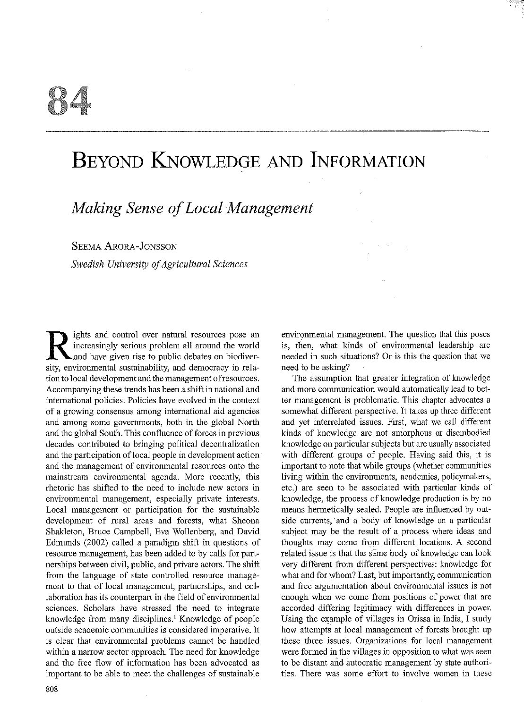## BEYOND KNowLEDGE AND INFORMATION

### *Making Sense of Local Management*

SEEMA ARORA-JONSSON

*Swedish University of Agricultural Sciences* 

**Reference is and control over natural resources pose and increasingly serious problem all around the world and have given rise to public debates on biodiversity environmental sustainability and democracy in rela**increasingly serious problem all around the world and have given rise to public debates on biodiversity, environmental sustainability, and democracy in relation to local development and the management of resources. Accompanying these trends has been a shift in national and international policies. Policies have evolved in the context of a growing consensus among international aid agencies and among some governments, both in tbe global North and the global South, This confluence of forcesin previous decades contributed to bringing political decentralization and the participation of local people in development action and the management of environmental resources onto the mainstream environmental agenda. More recently, this rhetoric has shifted to the need to include new actors in environmental management, especially private interests. Local management or participation for the sustainable development of rural areas and forests, what Sheona Shakleton, Bruce Campbell, Eva Wallenberg, and David Edmunds (2002) called a paradigm shift in questions of resource management, has been added to by calls for partnerships between civil, public, and private actors. The shift from the language of state controlled resource management to that of local management, partnerships, and collaboration has its counterpart in the field of environmental sciences. Scholars have stressed the need to integrate knowledge from many disciplines.<sup>1</sup> Knowledge of people outside academic communities is considered imperative. It is clear that environmental problems cannot be handled within a narrow sector approach. The need for knowledge and tbe free flow of information has been advocated as important to be able to meet the challenges of sustainable

environmental management. The question that this poses is, then, what kinds of environmental leadership are needed in such situations? Or is this the question that we need to be asking?

The assumption that greater integration of knowledge and more communication would automatically lead to better management is problematic. This chapter advocates a somewhat different perspective. It takes up three different and yet interrelated issues. First, what we call different kinds of knowledge are not amorphous or disembodied lmowledge on particular subjects but are usually associated with different groups of people. Having said this, it is important to note that while groups (whether communities living within the environments, academics, policymakers, etc,) are seen to be associated with particular kinds of knowledge, the process of knowledge production is by no means hermetically sealed. People are influenced by outside currents, and a body of knowledge on a particular subject may be the result of a process where ideas and thoughts may come from different locations, A seeond related issue is that the same body of knowledge can look very different from different perspectives: knowledge for what and for whom? Last, but importantly, communication and free argumentation about environmental issues is not enough when we come from positions of power that are accorded differing legitimacy with differences in powcr. Using the example of villages in Orissa in India, I study how attempts at local management of forests brought up these three issues. Organizations for local management were formed in the villages in opposition to what was seen to be distant and autocratic management by state authorities. There was same effort to involve women in thesc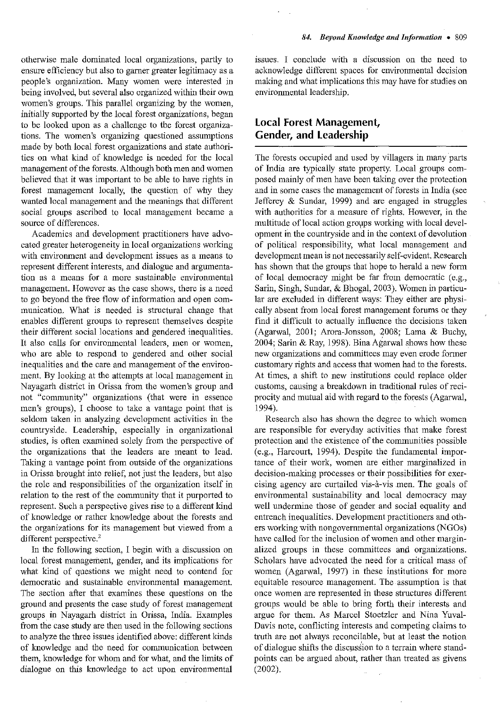otherwise maJe dominated local organizations, partly to **ensute efficiency but also to garner greater legitimacy as a**  people's organization. Many women were interested in being involved, but several also organized within their own women's groups. This parallel organizing by the women, initially supported by the local forest organizations, began to be Jooked upon as a challenge to the forest organiza**tions. The women's organizing questioned assumptions**  made by hoth local forest organizations and state authorities on what kind of knowledge is needed for the local management of the forests. Although both men and women believed that it was important to be able to have rights in forest management locally, the question of why they wanted local management and the meanings that different social groups ascribed to local management became a **source of differences.** 

Academics and development practitioners have advo**cated greater heterogeneity in local organizations working with environment and development issues as a means to**  represent different interests, and dialogue and argumentation as a means for a more sustainable environmental **management. However as the case shows, there is a need**  to go beyond the free flow of information and open communication. What is needed is stmctural change that enables different groups to represent themselves despite their different social locations and gendered inequalities. **It also calls for environmental leaders, men or women,**  who are able to respond to gendered and other social **inequalities and the care and management of the environ**ment. By Jooking at the attempts at local management in Nayagarh district in Orissa from the women's group and **not "community" organizations (that were in essence**  men's groups), I choose to take a vantage point that is seldom taken in analyzing development activities in the countryside. Leadership, especially in organizational studies, is often examined solely from the perspective of the organizations that the leaders are meant to lead. Taking a vantage point from outside of the organizations in Orissa brought into relief, not just the leaders, but also the role and responsibilities of the organization itself in relation to the rest of the community that it purported to **represent. Such a perspective gives rise to a different kind**  of knowledge or rather knowledge about the forests and **the organizations for its management but viewed from a different perspective?** 

In the following section, I begin with a discussion on **loeal forest management, gender, and its implications for**  what kind of questions we might need to contend for **demoeratic and sustainable environmental management. The seetian after that examines these questions on the**  ground and presents the case study of forest management groups in Nayagarh district in Orissa, India. Examples from the case study are then used in the following sections to analyze the three issues identified above: different kinds of knowledge and the need for communication between them, knowledge for whom and for what, and the limits of dialogue on this knowledge to act upon environmental

**issues. I eonclude with a discussion on the need to acknowledge different spaees for environmental decision**  making and what implications this mayhave for studies on environmental leadership.

#### **Local Forest Management, Gender, and Leadership**

The forests occupied and used by villagers in many parts of India are typically state property. Local groups composed mainly of men have been taking over the protection **and in some cases the management of forests in India (see**  Jefferey & Sundar, 1999) and are engaged in struggles with authorities for a measure of rights. However, in the multitude of local action groups working with local development in the countryside and in the context of devolution of political responsibility, what local management and **development mean is not neeessarily self-evident. Research**  has shown that the groups that hope to herald a new form of local democracy might be far from democratic (e.g., Sarin, Singh, Sundar, & Bhogal, 2003). Women in particular are excluded in different ways: They either are physically absent from local forest management forums or they find it difficult to actually influence the decisions taken (Agarwal, 2001; Arara-Jonsson, 2008; Lama & Buchy, 2004; Sarin & Ray, 1998). Bina Agarwal shows how these **new 6rganizations and eommittees rnay even erode former**  customary rights and access that women had to the forests. At times, a shift to new institutions could replace older **customs, eausing a breakdown in traditional rules of reci**procity and mutual aid with regard to the forests (Agarwal, 1994).

Research also has shown the degree to which women are responsible for everyday activities that make forest **protection and the existence of the eommunities possible**  (e.g., Harcourt, 1994). Despite the fundamental impor**tanee of their work, women are either marginalized in decision-making processes or their possibilities for exer**cising agency are curtailed vis-à-vis men. The goals of environmental sustainability and local democracy may well undermine those of gender and social equality and **entrench inequalities. Development practitioners and oth**ers working with nongovernmental organizations (NGOs) have called for the inclusion of women and other margin**alized groups in these eommittees and organizations.**  Schalars have advocated the need for a critical mass of women (Agarwal, 1997) in these institutions for more **equitable resouree management. The assumption is that once women are represented in these structures different**  groups would be able to bring forth their interests and argue for them. As Marcel Stoetzler and Nina Yuval-Davis note, conflicting interests and competing claims to truth are not always reconcilable, but at least the notion of dialogue shifts the discusiion to a terrain where stand**points can be argued about, rather than treated as givens**  (2002). L,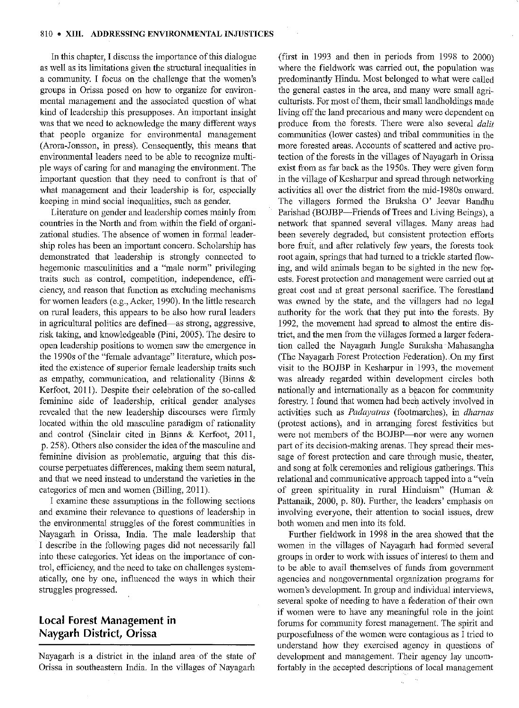#### 810 • XIII. ADDRESSING ENVIRONMENTAL INJUSTICES

In this chapter, I discuss the importance of this dialogue as well as its limitations given the structural inequalities in a community. I focus on the challenge that the women's groups in Orissa posed on how to organize for environmental management and the associated question of what kind of leadership this presupposes. An important insight was that we need to acknowledge the many different ways that people organize for environmental management (Arora-Jonsson, in press). Consequently, this means that environmental leaders need to be able to recognize multiple ways of caring for and managing the environment. The important question that they need to confront is that of what management and their leadership is for, especially keeping in mind social inequalities, such as gender.

Literature on gender and leadership comes mainly from countries in the North and from within the field of organizational studies. The absence of women in formal leadership roles has been an important concern. Scholarship has demonstrated that leadership is strongly connected to begernonie masculinities and a "male norm" privileging traits such as control, competition, independence, efficiency, and reason that function as excluding mechanisms for women leaders (e.g., Acker, 1990). In the little research on rural leaders, this appears to be also how rural leaders in agricultural politics are defined—as strong, aggressive, risk taking, and lmowledgeable (Pini, 2005). The desire to open leadership positions to women saw the emergence in the 1990s of the "female advantage" literature, which posited the existence of superior female leadership traits such as empathy, communication, and relationality (Binns  $\&$ Kerfoot, 2011). Despite their celebration of the so-called feminine side of leadership, critical gender analyses revealed that the new leadership discomses were firmly located within the old masculine paradigm of rationality and control (Sinclair cited in Binns & Kerfoot, 2011, p. 258). Others also consider the idea of the masculine and feminine division as problematic, arguing that this discourse perpetuates differences, making them seem natural, and that we need instead to understand the varieties in the categories of men and women (Billing, 2011).

I examine these assumptions in the following seetians and examine their relevance to questions of leadership in the envirorunental struggles of the forest communities in Nayagarh in Orissa, India. The male leadership that I describe in the following pages did not necessarily fall inta these categories. Yet ideas on the importance of contro!, efficiency, and the need to take on challenges systematically, one by one, influenced the ways in which their stmggles progressed.

#### Local Forest Management in Naygarh District, Orissa

Nayagarh is a district in the inland area of the state of Orissa in southeastem India. In the villages of Nayagarh

(first in 1993 and then in periods from 1998 to  $2000$ ) where the fieldwork was carried out, the population was predominantly Hindu. Most belonged to what were called the general castes in the area, and many were small agriculturists. For most of them, their small landholdings made living off the land precarious and many were dependent on produce from the forests. There were also several *dalit*  communities (lower castes) and tribal communities in the more forested areas. Accounts of scattered and active protection of the forests in the villages of Nayagarh in Orissa exist from as far back as the 1950s. They were given form in the village of Kesharpur and spread through networking activities all over the district from the mid-1980s onward. The villagers formed the Bruksha O' Jeevar Bandhu Parishad (BOJBP—Friends of Trees and Living Beings), a netwotk that spanned several villages. Many areas had been severely degraded, but consistent protection efforts bore fruit, and after relatively few years, the forests took root again, springs that had turned to a trickle started flowing, and wild animals began to be sighted in the new forests. Forest protection and management were carried out at great cost and at great personal sacrifice. The forestland was owned by the state, and the villagers had no legal authority for the work that they put into the forests. By 1992, the movement had spread to almost the entire district, and the men from the villages formed a larger federation called the Nayagarh Jungle Suraksha Mahasangha (The Nayagarh Forest Proteetian Federation). On my first visit to the BOJBP in Kesharpur in 1993, the movement was already regarded within development circles both nationally and internationally as a beacon for community forestry. I found that women bad beeh actively invalved in activities such as *Padayatras* (footmarches), in *dharnas*  (protest actions), and in arranging forest festivities but were not members of the BOJBP—nor were any women part of its decision-making arenas. They spread their message of forest protection and care through music, theater, and song at folk ceremonies and religious gatherings. This relational and communicative approach tapped inta a "vein of green spirituality in mral Hinduism" (Human & Pattanaik, 2000, p. 80). Further, the leaders' emphasis on involving everyone, their attention to social issues, drew both women and men into its fold.

Purther fieldwork in 1998 in the area showed that the women in the villages of Nayagarh had formed several groups in order to work with issues of interesi to them and to be able to avail themselves of funds from government agencies and nongovernmental organization programs for women's development. In group and individual interviews, several spoke of needing to have a federation of their own if women were to have any meaningful role in the joint forums for community forest management. The spirit and purposefulness of the women were contagious as I tried to understand how they exercised agency in questions of development and management. Their agency lay uneomfortably in the accepted descriptions of local management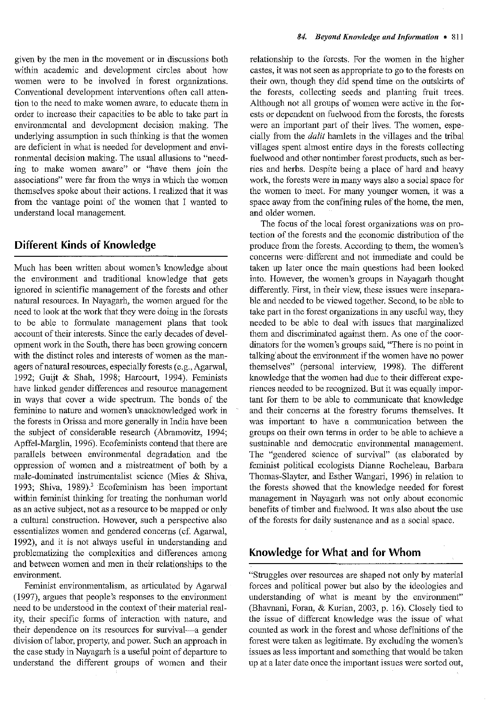**given by the men in the movement or in discussions both within academic and development circles about how**  women were to be involved in forest organizations. **Conventional development interventions often call atten**tion to the need to make women aware, to educate them in order to increase their capacities to be able to take part in **environmental and development decision making. The**  underlying assumption in such thinking is that the women **are deficient in what is needed for development and environmental decision making. The usual allusions to "needing to make women aware" or "have them join the associations" were far from the ways in which the women**  themselves spoke about their actions. l realized ihat it was from the vantage point of the women that I wanted to understand local management.

#### **Different Kinds of Knowledge**

Much has been written about women's knowledge about the environment and traditional knowledge that gets **ignored in scientific management of the forests and other**  natural resources. In Nayagarh, the women argued for the need to look at the work that they were doing in the forests to be able to formulate management plans that took account of their interests. Since the early decades of devel**opment work in the South, there has been growing concem**  with the distinct roles and interests of women as the managers of natural resources, especially forests (e.g., Agarwal, 1992; Guijt & Shah, 1998; Harcourt, 1994). Feminists have linked gender differences and resource management in ways that cover a wide spectrum. The bonds of the **feminine to nature and women's unacknowledged work in the forests in Orissa and more generally in India have been**  the subject of considetable research (Abramovitz, 1994; Apffel-Marglin, 1996). Ecofeminists contend that there are parallels between environmental degradation and the oppression of women and a mistreatment of both by a **male-dominated instrumentalist science (Mies & Shiva,**  1993; Shiva, 1989).<sup>3</sup> Ecofeminism has been important within feminist thinking for treating the nonhuman world **as an active subject, not as a resource to be mappedor only a cultural construction. However, such a perspective also**  essentializes women and gendered concerns (cf. Agarwal, 1992), and it is not always useful in understanding and problematizing the complexities and differences among and between women and men in their relationships to the **environment.** 

**Feminist environmentalism, as articulated by Agarwal**  (1997), argues that people's respanses to the enviromnent need to be understood in the context of their material reality, their specific forms of interaction with nature, and **their dependence on its resources for survival—a gender** division of labor, property, and power. Such an approach in the case study in Nayagarh is a useful point of departure to understand the different groups of women and their

relationship to the forests. For the women in the higher castes, it was not seen as appropriate to go to the forests on their own, though they did spend time on the outskirts of the forests, collecting seeds and planting fruit trees. Although not all groups of women were active in the forests or dependent on fuelwood from the forests, the forests **were an important part of their lives. The women, espe**cially from the *da/il* hamlets in the villages and the tribal villages spent almost entire days in the forests collecting fuelwood and other nontimber forest products, such as berries and herbs. Despite being a place of hard and heavy **work, the forests were in many ways also a social space for the women to 'meet. For many younger women, it was a**  space away from the confining rules of the home, the men, and older women.

The focus of the local forest organizations was on protection of the forests and the economic distribution of the produce from the forests. According to them, the women's concerns were different and not immediate and could be taken up later once the main questions had been looked inta. However, the women's groups in Nayagarh thought **differently. First, in their view, these issues were insepara**ble and needed to be viewed together. Second, to be able to take part in the forest organizations in any useful way, they needed to be able to deal with issues that marginalized them and discriminated against them. As one of the coor**dinators for the women's groups said, "There is no point in**  talking about the environment if the women have no power themselves" (personal interview, 1998). The different knowledge that the women had due to their different experiences needed to be recognized. But it was equally important for them to be able to communicate that knowledge and their concerns at the forestry forums themselves. It was important to have a communication between the groups on their own terms in order to be able to achieve a **sustainable and demoeratic environmental management.**  The "gendered science of survival" (as elaborated by feminist political ecologists Dianne Rocheleau, Barbara Thomas-Slayter, and Esther Wangari, 1996) in relation to the forests showed that the knowledge needed for forest management in Nayagarh was not only about economic benefits of timber and fuelwood. It was also about the use of the forests for daily sustenance and as a social space.

#### **Knowledge for What and for Whom**

"Stmggles over resources are shaped not only by material forces and political power but also by the ideologies and **understanding of what is meant by the enviromnent"**  (Bhavnani, Foran, & Kurian, 2003, p. 16). Closely tied to the issue of different knowledge was the issue of what counted as work in the forest and whose definitions of the forest were taken as legitimate. By excluding the women's issues as less important and something that would be taken **up at a later date once the important issues were sorted out,**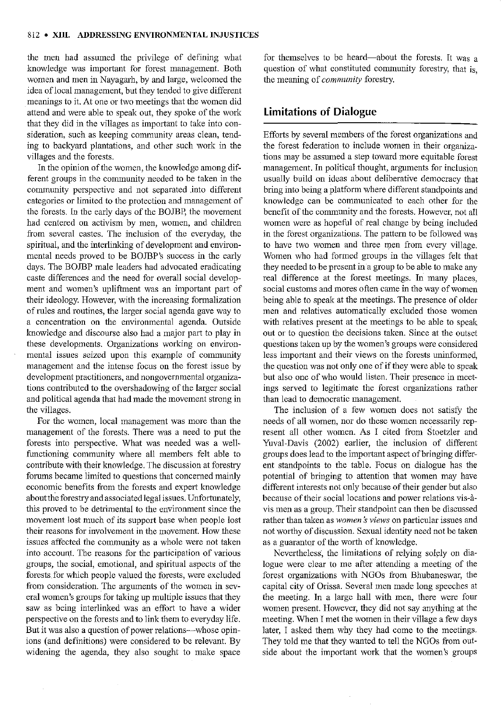the men had assumed the privilege of defining what knowledge was important for forest management. Both women and men in Nayagarh, by and !arge, welcomed the idea of local management, but they tended to give different meanings to it. At one or two meetings that the women did attend and were able to speak out, they spake of the work that they did in the villages as important to take into consideration, such as keeping community areas clean, tending to backyard plantations, and other such work in the villages and the forests.

In the opinion of the women, the knowledge among different groups in the community needed to be taken in the connnunity perspective and not separated .into different categories or limited to the protection and management of the forests. In the early days of the BOJBP, the movement had centered on activism by men, women, and children from several castes. The inclusion of the everyday, the spiritual, and the interlinking of development and environmental needs proved to be BOJBP's success in the early days. The BOJBP male leaders had advocated eradicating caste differences and the need for overall social development and women's upliftment was an important part of their ideology. However, with the increasing formalization of rules and routines, the larger social agenda gave way to a concentration on the environmenta1 agenda. Outside knowledge and discourse also had a major part to play in these developments. Organizations working on environmental issues seized upon this example of community management and the intense focus on the forest issue by development practitioners, and nongovernmental organizations contributed to the overshadowing of the larger social and political agenda that had made the movement strong in the villages.

For the women, Iocal management was more than the management of the forests. There was a need to put the forests into perspective. What was needed was a wellfunctioning community where all members felt able to contribute with their knowledge. The discussion at forestry forums became limited to questions that concerned mainly economic benefils from the forests and expert knowledge about the forestry and associated legal issues. Unfortunately, this proved to be detrimental to the environment since the movement lost much of its support base when people lost their reasons for involvement in the movement. How these issues affected the community as a whole were not taken into account. The reasons for the participation of various groups, the social, emotional, and spiritual aspects of the forests for which people valned the forests, were excluded from consideration. The arguments of the women in several women's groups for taking up multiple issues that they saw as being interlinked was an effort to have a wider perspective on the forests and to link them to everyday life. But it was also a question of power relations---whose opinions (and definitions) were considered to be relevant. By widening the agenda, they also sought to make space for themselves to be heard—about the forests. It was a question of what constituted community forestry, that is, the meaning of *community* forestry.

#### Limitations of Dialogue

Efforts by several members of the forest organizations and the forest federation to include women in their organizations may be assumed a step toward more equitable forest management. In political thought, arguments for inclusion usually build on ideas about deliberative democracy that bring into being a platform where different standpoints and knowledge can be communicated to each other for the benefit of the community and the forests. However, not all women were as hopeful of real change by being included in the forest organizations. The pattem to be followed was to have two women and three men from every village. Women who had formed groups in the villages felt that they needed to be present in a group to be able to make any real difference at the forest meetings. In many places, social customs and mores often came in the way of women being able to speak at the meetings. The presence of older men and relatives automatically excluded those women with relatives present at the meetings to be able to speak out or to question the decisions taken. Since at the outset questions taken up by the women's groups were considered less important and their views on the forests uninformed, the question was not only one of if they were able to speak but also one of who would listen. Their presence in meetings served to legitimate the forest organizations rather than lead to demoeratic management.

The inclusion of a few women does not satisfy the needs of all women, nor do these women necessarily represent all other women. As I cited from Stoetzler and Yuval-Davis (2002) earlier, the inclusion of different groups does lead to the important aspect of bringing different standpoints to the table. Focus on dialogue has the potential of bringing to attention that women may have different interests not only because of their gender hut also because of their social locations and power relations vis-àvis men as a group. Their standpoint can then be disenssed rather than taken as *women's views* on particular issues and not worthy of discussion. Sexual identity need not be taken as a guarantor of the worth of knowledge.

Nevertheless, the limitations of relying solely on dialogue were clear to me after attending a meeting of the forest organizations with NGOs from Bhubaneswar, the capital city of Orissa. Several men made long speeches at the meeting. In a large hall with men, there were four women present. However, they did not say anything at the meeting. When I met the women in their village a few days later, I asked them why they had come to the meetings. They told me that they wanted to tell the NGOs from outside about the important work that the women's groups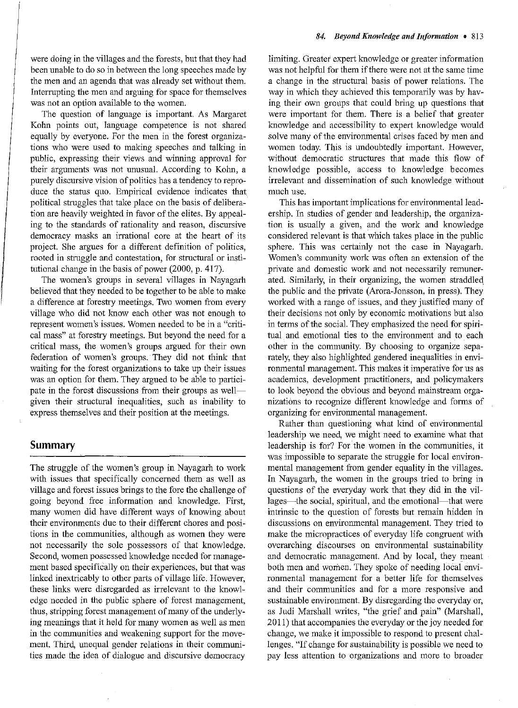were doing in the villages and the forests, but that they had been unable to do so in between the long speeehes made by the men and an agenda that was already set without them. Interrupting the men and arguing for space for themselves **was not an option available to the women.** 

The question of language is important. As Margaret Kohn points out, language competence is not shared equally by everyone. For the men in the forest organizations who were used to making speeches and talking in public, expressing their views and winuing approval for their arguments was not unusual. According to Kohn, a **purely discursive vision of politics has a tendency to repro**duce the status quo. Empirical evidence indicates that political struggles that take place on the basis of deliberation are heavily weighted in favor of the elites. By appealing to the standards of rationality and reason, discursive democracy masks an irrational core at the heart of its project. She argues for a different definition of politics, **rooted in struggle and contestation, for structural or insti**tutional change in the basis of power (2000, p. 417).

The women's groups in several villages in Nayagarh believed that they needed to be together to be able to make **a difference at farestry meetings. Two women from every**  village who did not know each other was not enough to **represent women's issues. Women needed to be in a "criti**cal mass" at forestry meetings. But beyond the need for a **critical mass, the women's groups argued for their own**  federation of women's groups. They did not think that **waiting for the forest organizations to take up their issues**  was an option for them. They argued to be able to participate in the forest discussions from their groups as wellgiven their structural inequalities, such as inability to **express themselves and their position at the meetings.** 

#### **Summary**

The struggle of the women's group in Nayagarh to work with issues that specifically concerned them as well as village and forest issues brings to the fore the challenge of going beyond free information and knowledge. First, many women did have different ways of knowing about **their environments due to their different ehores and positions in the communities, although as women they were**  not necessarily the sole passessors of that lmowledge. Second, women possessed lmowledge needed for management based specifically on their experiences, but that was linked inextricably to other parts of village Iife. However, these links were disregarded as irrelevant to the knowledge needed in the public sphere of forest management, thus, stripping forest management of many of the underlying meanings that it held for many women as well as men **in the communities and weakening support for the move**ment. Third, unequal gender relations in their communities made the idea of dialogue and discursive democracy

**limiting. Greater expert lmowledgc or greater information**  was not helpful for them if there were not at the same time a change in the structural basis of power relations. The way in which they achieved this temporarily was by having their own groups that could bring up questions that were important for them. There is a belief that greater knowledge and accessibility to expert knowledge would solve many of the environmental crises faced by men and women today. This is undoubtedly important. However, without demoeratic structures that made this flow of knowledge possible, access to knowledge becomes **irrelevant and dissemination of such lrnowledge without much use.** 

This has important implications for environmental leadership. In studies of gender and leadership, the organization is usually a given, and the work and knowledge considered relevant is that which takes place in the public sphere. This was certainly not the case in Nayagarh. **Women's community work was often an extension of the private and domestic work and not necessarily remuner**ated. Similarly, in their organizing, the women straddled the public and the private (Arora-Jonsson, in press). They warked with a range of issues, and they justified many of **their decisions not only by eecnornie motivations but also**  in terms of the social. They emphasized the need for spiri**tual and emotional ties to the environment and to each other in the community. By choosing to organize sepa**rately, they also highlighted gendered inequalities in environmental management. This makes it imperative for us as **academics, development practitionei:s, and policymakers**  to look beyond the obvious and beyond mainstream organizations to recognize different knowledge and forms of **organizing for environmental management.** 

Rather than questioning what kind of environmental leadership we need, we might need to examine what that **leadership is for? For the women in the communities, it**  was impossible to separate the struggle for local environmental management from gender equality in the villages. In Nayagarh, the women in the groups tried to bring in questions of the everyday work that they did in the villages—the social, spiritual, and the emotional—that were **intrinsic to the question of forests but remain hidden in discussions on environmental management. They tried to**  make the micropractices of everyday life congruent with **overarebing discourses on environmental sustainability**  and demoeratic management. And by local, they meant both men and women. They spake of needing local environmental management for a better life for themselves **and their communities and for a more responsive and sustainable environment. By disregarding the everyday or,**  as Judi Marshall Wiites, "the grief and pain" (Marshall, 2011) that accompanies the everyday or the joy needed for **change, we make it impossible to respond to present chal**lenges. "If change for sustainability is possible we need to **pay less attention to organizations and more to broader**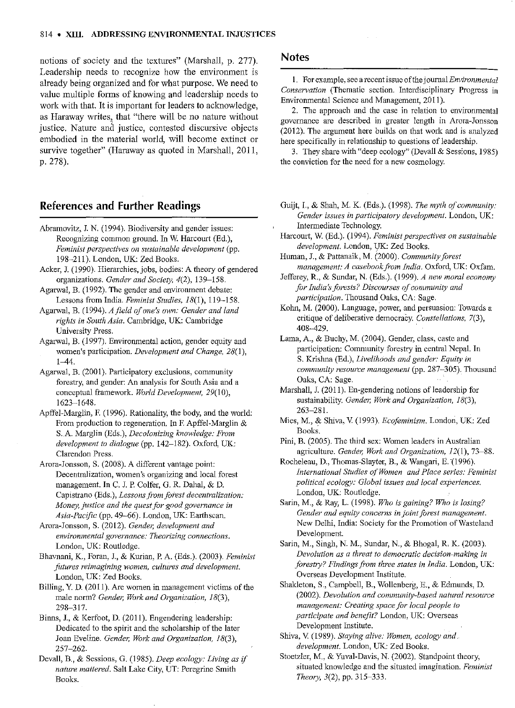notions of society and the textures" (Marshall, p. 277). Leadership needs to recognizc how the environment is already being organized and for what purpose. We need to value multiple forms of knowing and leadership needs to work with that. It is important for leaders to acknowledge, as Haraway writes, that "there will be no natnre without justice. Nature and justice, contested discursive objects embodied in the material world, will become extinct or survive together" (Haraway as quoted in Marshall, 2011, p. 278).

#### References and Further Readings

- Abramovitz, J. N. (1994). Biodiversity and gender issues: Recognizing common ground. In W Harecurt (Ed.), *Feminist perspectives on sustainable development* (pp. 198-211). London, UK: Zed Books.
- Acker, J. (1990). Hierarchies, jobs, bodies: A theory of gendered organizations. *Gender and Society,* 4(2), 139-158.
- Agarwa1, B. (1992). The gender and environment debate: Lessons from India. *Feminist Studies, 18(1),* 119-158.
- Agarwal, B. (1994). *A field of one's own: Gender and land rights in South Asia.* Cambridge, UK: Cambridge University Press.
- Agarwal, B. (1997). Enviromnental action, gender equity and wornen's participation. *Development and Change, 28(1),*  1-44.
- Agarwal, B. (2001). Participatory exclusions, community forestry, and gender: An analysis for South Asia and a conceptual framework. *World Development*, 29(10), 1623-1648.
- Apffel-Marglin, F. (1996). Rationality, the body, and the world: From production to regeneration. In F. Apffel-Marglin & S. A Marglin (Eds.), *Decolonizing knowledge: From development to dialogue* (pp. 142-182). Oxford, UK: Ciarendon Press.
- Arora-Jonsson, S. (2008). A different vantage point: Decentralization, wornen's organizing and local forest management. In C. J. P. Colfer, G. R. Dahal, & D. Capistrano (Eds.), *Lessons from forest decentralization: Money, justice and the quest for good governance in Asia-Pacific* (pp. 49-66). London, UK: Earthscan.
- Arora-Jonsson, S. (2012). *Gender, development and environmental governance: Theorizing connections.*  London, UK: Routledge.
- Bhavnani, K., Foran, J., & Kurian, P. A. (Eds.). (2003). *Feminist futures reimagining women, cultures and development.*  London, UK: Zed Books.
- Billing, Y. D. (2011). Are women in management victims of the male norm? *Gender, Work and Organization, 18(3),*  298-317.
- Binns, J., & Kerfoot, D. (2011). Engendering leadership: Dedicated to the spirit and the scholarship of the later Joan Eveline. *Gender, Work and Organization, 18(3)*, 257-262.
- Devall, B., & Sessions, G. (1985). *Deep ecology: Living as if nature mattered.* Salt Lake City, UT: Peregrine Smith Books.

#### Notes

l. For example, see a recent issue of the journal *Environmental Conservatian* (Thernatic section. Interdisciplinary Progress in Environmental Science and Management, 2011).

2. The approach and the case in relation to environmental govemance are described in greater length in Arora-Jonssan  $(2012)$ . The argument here builds on that work and is analyzed here specifically in relationship to questions of leadership.

3. They share with "deep cco1ogy" (Devall & Sessions, 1985) the conviction for the need for a new cosmology.

- Guijt, I., & Shah, M. K. (Eds.). (1998). *The myth of community: Gender issues in participatory development.* London, UK: Intermediate Technology.
- Harcourt, W (Ed.). (1994). *Feminist perspectives on sustainable*  development. London, UK: Zed Books.
- Human, J., & Pattanaik, M. (2000). *Community forest management: A casebook from India.* Oxford, UK: Oxfam.
- Jefferey, R., & Sundar, N. (Eds.). (1999). *A new moral economy*  for India's forests? Discourses of community and *participation.* Thousand Oaks, CA: Sage.
- Kohn, M. (2000). Language, power, and persuasion: Towards a critique of deliberative dernocracy. *Constellations,* 7(3), 408-429.
- Lama, A., & Buchy, M. (2004). Gender, class, castc and participation: Community farestry in central Nepal. In S. Krishna (Ed.), *Livelihoads and gender: Equity in community resource management* (pp. 287-305). Thousand Oaks, CA: Sage.
- Marshall, J. (2011). En-gendering notions of leadership for sustainability. *Gender*, Work and Organization, 18(3), 263-281.
- Mies, M., & Shiva, V (1993). *Ecofeminism.* London, UK: Zed Books.
- Pini, B. (2005). The third sex: Women leaders in Australian agriculture. *Gender, Work and Organization, 12(1* ), 73-88.
- Rocheleau, D., Thomas-Slayter, B., & Wangari, E. (1996). *International Studies c!fWomen and Place series: Feminist political ecology: Global issues and local experiences.* London, UK: Routledge.
- Sarin, M., & Ray, L. (1998). *fVho is gaining? fVho is losing? Gender and equity cancerns in joint forest management.*  New Delhi, India: Society for the Promotion of Wasteland Developrnent.
- Sarin, M., Singh, N. M., Sundar, N., & Bhogal, R. K. (2003). *Devolution as a threat to demoeratic decision-maldng in forestry? Findingsfrom three states in lndia.* London, UK: Overseas Development Institute.
- Shaldeton, S., Campbell, B., Wallenberg, E., & Edmunds, D. (2002). *Devolution and community-based natural resource management: Creating spacefor local people to participale and beneflt?* London, UK: Overseas Deve1opment Institute.
- Shiva, V. (1989). *Staying alive: Women, ecology and development.* London, UK: Zed Books.
- Stoetzler, M., & Yuval-Davis, N. (2002). Standpoint theory, situated lmowledge and the situated imagination. *Feminist Theory, 3(2),* pp. 315-333.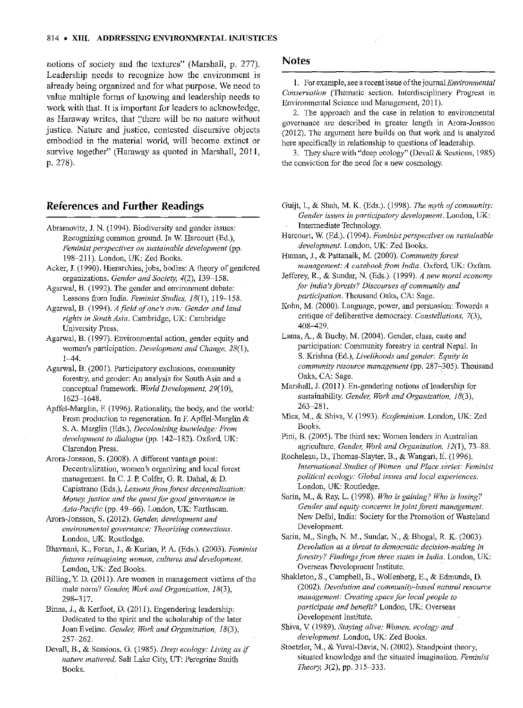notions of society and the textures" (Marshall, p. 277). Leadership needs to recognize how the environment is already being organized and for wbat purpose. We need to value multiple forms of knowing and leadership needs to work with that. It is important for leaders to acknowledge, as Haraway writes, that "there will be no nature without justice. Nature and justice, contested discursive objects embodied in the material world, will become extinct or survive together" (Haraway as quoted in Marshall, 2011, p. 278).

#### References and Further Readings

- Abramovitz, J. N. (1994). Biodiversity and gender issues: Recognizing common ground. In W. Harcourt (Ed.), *Feminist perspectives on sustainable development* (pp. 198-211). London, UK: Zed Books.
- Acker, J. (1990). Hierarchies, jobs, bodies: A theory of gendered organizations. *Gender and Society, 4(2),* 139-158.
- Agarwal, B. (1992). The gender and environment debate: Lessons from India. *Feminist Studies, 18(* l), 119-158.
- Agarwal, B. (1994). *A field ofone's own: Gender and land rights in South Asia.* Cambridge, UK: Cambridge University Press.
- Agarwal, B. (1997). Environmental action, gender equity and women's participation. *Development and Change, 28(1),*   $1-44.$
- Agarwal, B. (2001). Participatory exclusions, community forestry, and gender: An analysis for South Asia and a conceptual framework. World Development, 29(10), 1623-1648.
- Apffel-Marglin, F. (1996). Rationality, the body, and the world: From production to regeneration. In F. Apffel-Marglin & S. A. Marglin (Eds.), *Decolonizing knowledge: From*  development to dialogue (pp. 142-182). Oxford, UK: Ciarendon Press.
- Arara-Jonsson, S. (2008). A different vantage point: Decentralization, women's organizing and local forest management. In C. J. P. Colfer, G. R. Dahal, & D. Capistrano (Eds.), *Lessons from forest decentralization*: *Money, justice and the quest for good governance in*  Asia-Pacific (pp. 49-66). London, UK: Earthscan.
- Arom-Jonsson, S. (2012). *Gender, development and environmental governance: Theorizing connections.*  London, UK: Routledge.
- Bhavnani, K., Foran, J., & Kmian, P. A. (Eds.). (2003). *Feminist futures reimagining women, cultures and development.*  London, UK: Zed Books.
- Billing, Y. D. (2011). Are women in management victims of the male norm? *Gender, Work and Organization, 18(3),*  298-317.
- Binns, J., & Kerfoot, D. (2011). Bugendering leadership: Dedicated to the spirit and the scholarship of the later JoanEveline. *Gender, Workand Organization, 18(3),*  257-262.
- Devall, B., & Sessions, G. (1985). *Deep ecology: Living as if nature mattered.* Salt Lake City, UT: Peregrine Smith Books.

#### **Notes**

l. Forexample, see a recent issue of the *journalEnviranmental Conservation* (Thematic section. Interdisciplinary Progress in Environmental Science and Management, 2011 ).

2. The approach and the case in relation to environmental governance are described in greater length in Arora-Jonssan (2012). The argument here builds on that work and is analyzed here specifically in relationship to questions of leadership.

3. They share with "deep ecology" (Devall & Sessions, 1985) the conviction for the need for a new cosmology.

- Guijt, I., & Shah, M. K. (Eds.). (1998). *The myth of community:* Gender issues in participatory development. London, UK: Intermediate Technology.
- Harcourt, W (Ed.). (1994). *Feminist perspectives on sustainable development.* London, UK: Zed Books.
- Human, J., & Pattanaik, M. (2000). *Community forest management: A casebookfrom India.* Oxford, UK: Oxfam.
- Jefferey, R., & Sundar, N. (Eds.). (1999). *A new moral economy*  for India's forests? Discourses of community and *participation.* Thousand Oaks, CA: Sage.
- Kahn, M. (2000). Language, power, and persuasion: Towards a critique of deliberative democracy. *Constellations*, 7(3), 408-429.
- Lama, A., & Buchy, M. (2004). Gender, class, caste and participation: Community forestry in central Nepal. In S. Krishua (Ed.), *Livelihoads and gender: Equity in community resource management* (pp. 287-305). Thousand Oaks, CA: Sage. '
- Marshall, J. (2011). En-gendering notions of leadership for sustainability. *Gender, Work and Organization, 18(3),*  263-281.
- Mies, M.,~ Shiva, V. (1993). *Ecofeminism.* London, UK: Zed Books.
- Pini, B. (2005). The third sex: Women leaders in Australian agriculture. *Gender, Workand Organization, 12(1),* 73-88.
- Rocheleau, D., Thomas-Slayter, B., & Wangari, E:. (1996). *International Studies ofWomen and Place series: Feminist*   $p$ olitical ecology: Global issues and local experiences. London, UK: Routledge.
- Sarin, M., & Ray, L. (1998). *Who is gaining? Who is losing? Gender and equity cancerns in joint forest management.*  New Delhi, India: Society for the Promotion of Wasteland Development.
- Sarin, M., Singh, N. M., Sundar, N., & Bhogal, R. K. (2003). *Devolution as a threat to demoeratic decision-maläng in forestry? Findings from three states in India.* London, UK: Overseas Development Institute.
- Shaldeton, S., Campbell, B., Wollenberg, E., & Edmunds, D. (2002). *Devolution and community-based natural resource management: Creating space for local people to participale and benejit?* London, UK: Overseas Development Institute.
- Shiva, V. (1989). *Staying alive: Women, ecology and* ... *development.* London, UK: Zed Books.
- Stoetzler, M., & Yuval-Davis, N. (2002). Standpoint theory, situated knowledge and the situated imagination. *Feminist Theory, 3(2), pp.* 315-333.